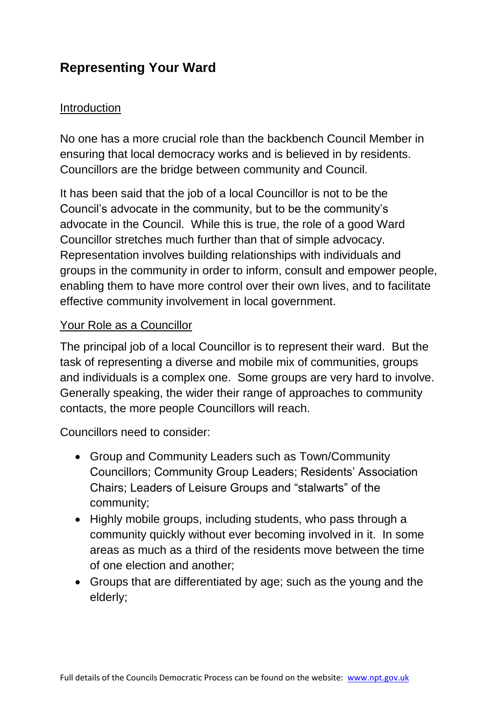# **Representing Your Ward**

### Introduction

No one has a more crucial role than the backbench Council Member in ensuring that local democracy works and is believed in by residents. Councillors are the bridge between community and Council.

It has been said that the job of a local Councillor is not to be the Council's advocate in the community, but to be the community's advocate in the Council. While this is true, the role of a good Ward Councillor stretches much further than that of simple advocacy. Representation involves building relationships with individuals and groups in the community in order to inform, consult and empower people, enabling them to have more control over their own lives, and to facilitate effective community involvement in local government.

### Your Role as a Councillor

The principal job of a local Councillor is to represent their ward. But the task of representing a diverse and mobile mix of communities, groups and individuals is a complex one. Some groups are very hard to involve. Generally speaking, the wider their range of approaches to community contacts, the more people Councillors will reach.

Councillors need to consider:

- Group and Community Leaders such as Town/Community Councillors; Community Group Leaders; Residents' Association Chairs; Leaders of Leisure Groups and "stalwarts" of the community;
- Highly mobile groups, including students, who pass through a community quickly without ever becoming involved in it. In some areas as much as a third of the residents move between the time of one election and another;
- Groups that are differentiated by age; such as the young and the elderly;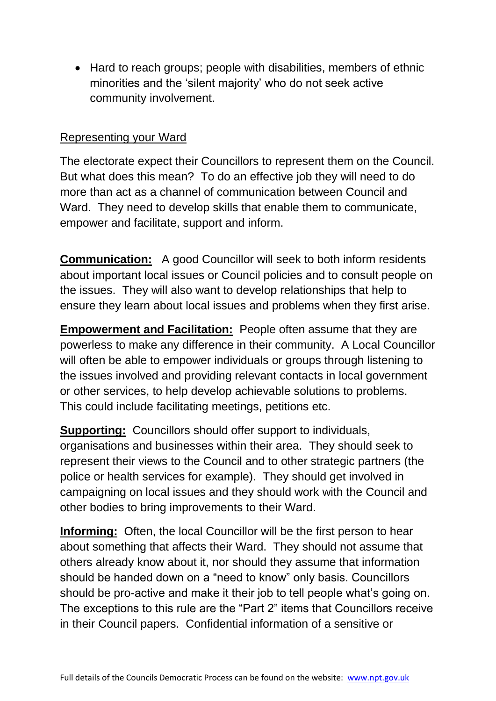• Hard to reach groups; people with disabilities, members of ethnic minorities and the 'silent majority' who do not seek active community involvement.

#### Representing your Ward

The electorate expect their Councillors to represent them on the Council. But what does this mean? To do an effective job they will need to do more than act as a channel of communication between Council and Ward. They need to develop skills that enable them to communicate, empower and facilitate, support and inform.

**Communication:** A good Councillor will seek to both inform residents about important local issues or Council policies and to consult people on the issues. They will also want to develop relationships that help to ensure they learn about local issues and problems when they first arise.

**Empowerment and Facilitation:** People often assume that they are powerless to make any difference in their community. A Local Councillor will often be able to empower individuals or groups through listening to the issues involved and providing relevant contacts in local government or other services, to help develop achievable solutions to problems. This could include facilitating meetings, petitions etc.

**Supporting:** Councillors should offer support to individuals, organisations and businesses within their area. They should seek to represent their views to the Council and to other strategic partners (the police or health services for example). They should get involved in campaigning on local issues and they should work with the Council and other bodies to bring improvements to their Ward.

**Informing:** Often, the local Councillor will be the first person to hear about something that affects their Ward. They should not assume that others already know about it, nor should they assume that information should be handed down on a "need to know" only basis. Councillors should be pro-active and make it their job to tell people what's going on. The exceptions to this rule are the "Part 2" items that Councillors receive in their Council papers. Confidential information of a sensitive or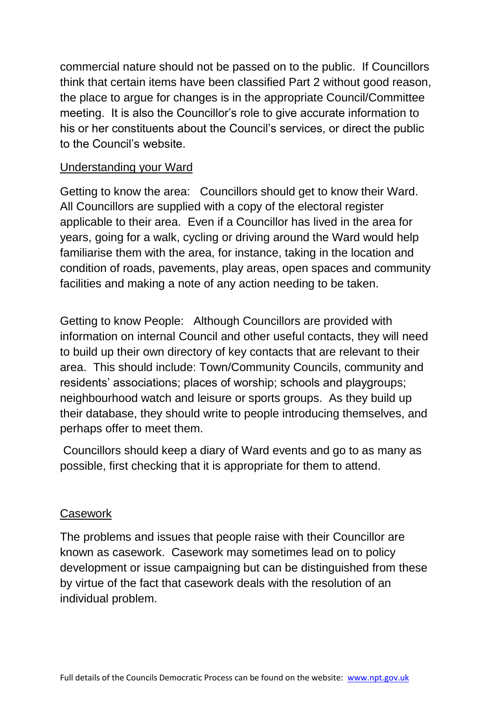commercial nature should not be passed on to the public. If Councillors think that certain items have been classified Part 2 without good reason, the place to argue for changes is in the appropriate Council/Committee meeting. It is also the Councillor's role to give accurate information to his or her constituents about the Council's services, or direct the public to the Council's website.

### Understanding your Ward

Getting to know the area: Councillors should get to know their Ward. All Councillors are supplied with a copy of the electoral register applicable to their area. Even if a Councillor has lived in the area for years, going for a walk, cycling or driving around the Ward would help familiarise them with the area, for instance, taking in the location and condition of roads, pavements, play areas, open spaces and community facilities and making a note of any action needing to be taken.

Getting to know People: Although Councillors are provided with information on internal Council and other useful contacts, they will need to build up their own directory of key contacts that are relevant to their area. This should include: Town/Community Councils, community and residents' associations; places of worship; schools and playgroups; neighbourhood watch and leisure or sports groups. As they build up their database, they should write to people introducing themselves, and perhaps offer to meet them.

Councillors should keep a diary of Ward events and go to as many as possible, first checking that it is appropriate for them to attend.

### Casework

The problems and issues that people raise with their Councillor are known as casework. Casework may sometimes lead on to policy development or issue campaigning but can be distinguished from these by virtue of the fact that casework deals with the resolution of an individual problem.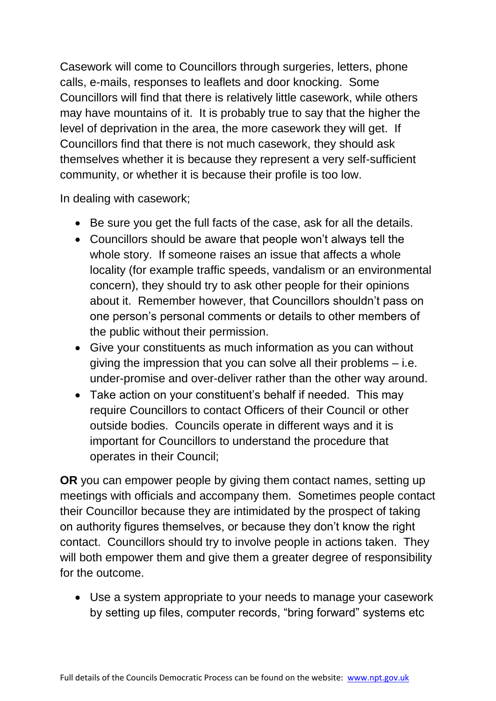Casework will come to Councillors through surgeries, letters, phone calls, e-mails, responses to leaflets and door knocking. Some Councillors will find that there is relatively little casework, while others may have mountains of it. It is probably true to say that the higher the level of deprivation in the area, the more casework they will get. If Councillors find that there is not much casework, they should ask themselves whether it is because they represent a very self-sufficient community, or whether it is because their profile is too low.

In dealing with casework;

- Be sure you get the full facts of the case, ask for all the details.
- Councillors should be aware that people won't always tell the whole story. If someone raises an issue that affects a whole locality (for example traffic speeds, vandalism or an environmental concern), they should try to ask other people for their opinions about it. Remember however, that Councillors shouldn't pass on one person's personal comments or details to other members of the public without their permission.
- Give your constituents as much information as you can without giving the impression that you can solve all their problems – i.e. under-promise and over-deliver rather than the other way around.
- Take action on your constituent's behalf if needed. This may require Councillors to contact Officers of their Council or other outside bodies. Councils operate in different ways and it is important for Councillors to understand the procedure that operates in their Council;

**OR** you can empower people by giving them contact names, setting up meetings with officials and accompany them. Sometimes people contact their Councillor because they are intimidated by the prospect of taking on authority figures themselves, or because they don't know the right contact. Councillors should try to involve people in actions taken. They will both empower them and give them a greater degree of responsibility for the outcome.

 Use a system appropriate to your needs to manage your casework by setting up files, computer records, "bring forward" systems etc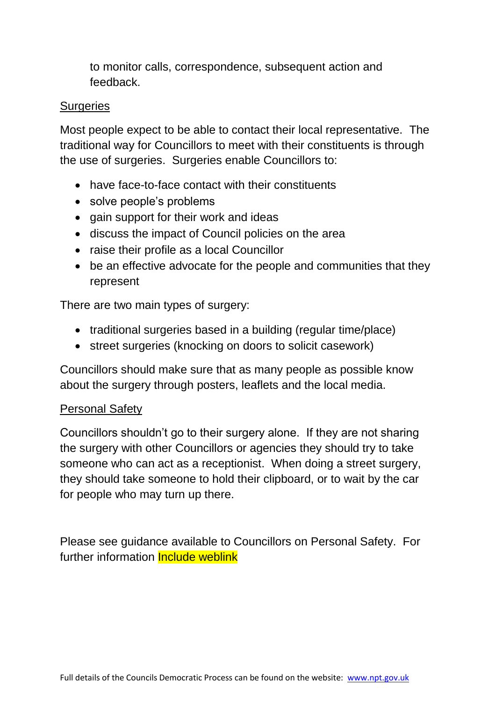to monitor calls, correspondence, subsequent action and feedback.

### **Surgeries**

Most people expect to be able to contact their local representative. The traditional way for Councillors to meet with their constituents is through the use of surgeries. Surgeries enable Councillors to:

- have face-to-face contact with their constituents
- solve people's problems
- gain support for their work and ideas
- discuss the impact of Council policies on the area
- raise their profile as a local Councillor
- be an effective advocate for the people and communities that they represent

There are two main types of surgery:

- traditional surgeries based in a building (regular time/place)
- street surgeries (knocking on doors to solicit casework)

Councillors should make sure that as many people as possible know about the surgery through posters, leaflets and the local media.

### Personal Safety

Councillors shouldn't go to their surgery alone. If they are not sharing the surgery with other Councillors or agencies they should try to take someone who can act as a receptionist. When doing a street surgery, they should take someone to hold their clipboard, or to wait by the car for people who may turn up there.

Please see guidance available to Councillors on Personal Safety. For further information **Include weblink**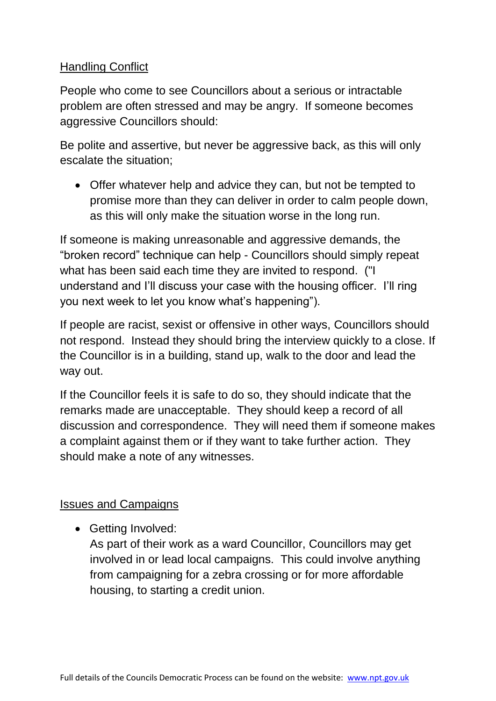### Handling Conflict

People who come to see Councillors about a serious or intractable problem are often stressed and may be angry. If someone becomes aggressive Councillors should:

Be polite and assertive, but never be aggressive back, as this will only escalate the situation;

 Offer whatever help and advice they can, but not be tempted to promise more than they can deliver in order to calm people down, as this will only make the situation worse in the long run.

If someone is making unreasonable and aggressive demands, the "broken record" technique can help - Councillors should simply repeat what has been said each time they are invited to respond. ("I understand and I'll discuss your case with the housing officer. I'll ring you next week to let you know what's happening").

If people are racist, sexist or offensive in other ways, Councillors should not respond. Instead they should bring the interview quickly to a close. If the Councillor is in a building, stand up, walk to the door and lead the way out.

If the Councillor feels it is safe to do so, they should indicate that the remarks made are unacceptable. They should keep a record of all discussion and correspondence. They will need them if someone makes a complaint against them or if they want to take further action. They should make a note of any witnesses.

# Issues and Campaigns

• Getting Involved:

As part of their work as a ward Councillor, Councillors may get involved in or lead local campaigns. This could involve anything from campaigning for a zebra crossing or for more affordable housing, to starting a credit union.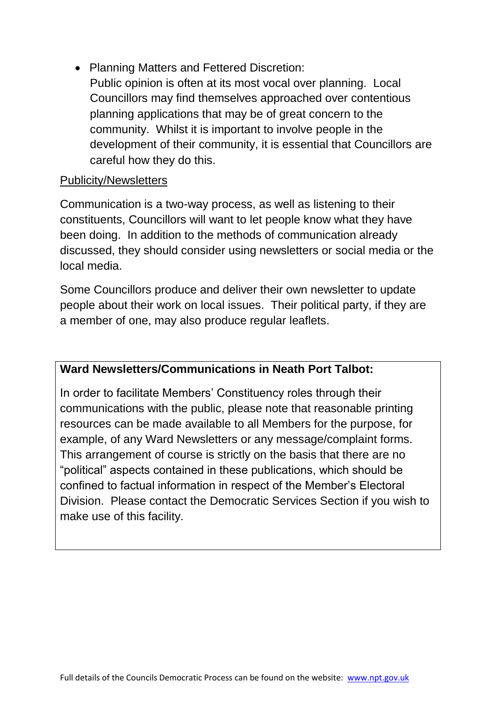• Planning Matters and Fettered Discretion: Public opinion is often at its most vocal over planning. Local Councillors may find themselves approached over contentious planning applications that may be of great concern to the community. Whilst it is important to involve people in the development of their community, it is essential that Councillors are careful how they do this.

### Publicity/Newsletters

Communication is a two-way process, as well as listening to their constituents, Councillors will want to let people know what they have been doing. In addition to the methods of communication already discussed, they should consider using newsletters or social media or the local media.

Some Councillors produce and deliver their own newsletter to update people about their work on local issues. Their political party, if they are a member of one, may also produce regular leaflets.

### **Ward Newsletters/Communications in Neath Port Talbot:**

In order to facilitate Members' Constituency roles through their communications with the public, please note that reasonable printing resources can be made available to all Members for the purpose, for example, of any Ward Newsletters or any message/complaint forms. This arrangement of course is strictly on the basis that there are no "political" aspects contained in these publications, which should be confined to factual information in respect of the Member's Electoral Division. Please contact the Democratic Services Section if you wish to make use of this facility.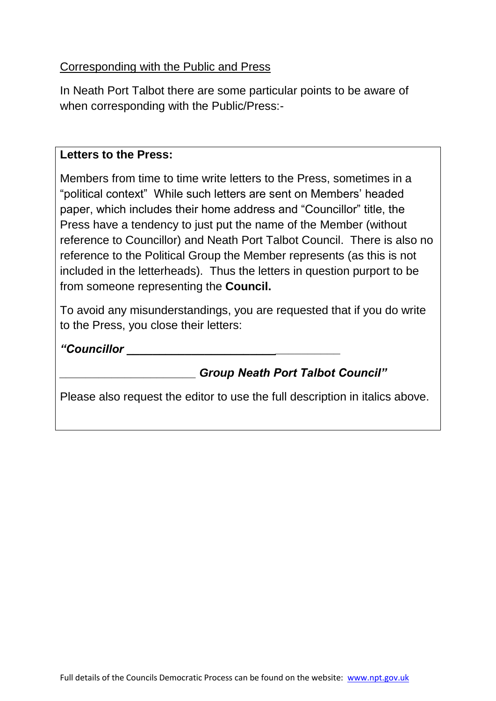### Corresponding with the Public and Press

In Neath Port Talbot there are some particular points to be aware of when corresponding with the Public/Press:-

#### **Letters to the Press:**

Members from time to time write letters to the Press, sometimes in a "political context" While such letters are sent on Members' headed paper, which includes their home address and "Councillor" title, the Press have a tendency to just put the name of the Member (without reference to Councillor) and Neath Port Talbot Council. There is also no reference to the Political Group the Member represents (as this is not included in the letterheads). Thus the letters in question purport to be from someone representing the **Council.**

To avoid any misunderstandings, you are requested that if you do write to the Press, you close their letters:

*"Councillor \_\_\_\_\_\_\_\_\_\_\_\_\_\_\_\_\_\_\_\_\_\_\_\_\_\_\_\_\_\_\_\_\_*

# *\_\_\_\_\_\_\_\_\_\_\_\_\_\_\_\_\_\_\_\_\_ Group Neath Port Talbot Council"*

Please also request the editor to use the full description in italics above.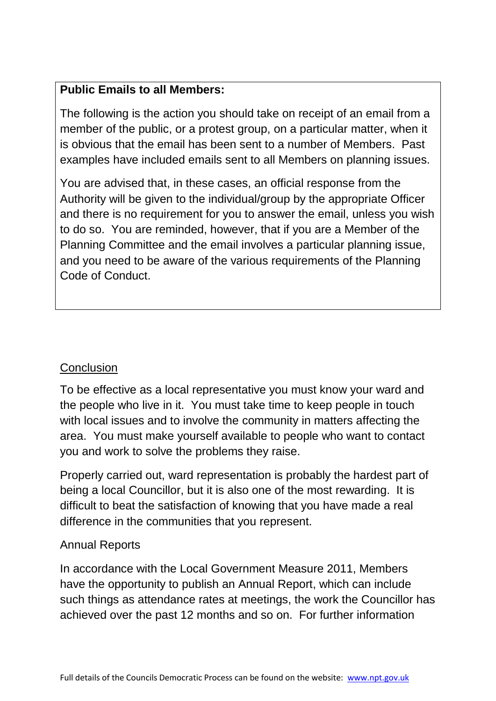# **Public Emails to all Members:**

The following is the action you should take on receipt of an email from a member of the public, or a protest group, on a particular matter, when it is obvious that the email has been sent to a number of Members. Past examples have included emails sent to all Members on planning issues.

You are advised that, in these cases, an official response from the Authority will be given to the individual/group by the appropriate Officer and there is no requirement for you to answer the email, unless you wish to do so. You are reminded, however, that if you are a Member of the Planning Committee and the email involves a particular planning issue, and you need to be aware of the various requirements of the Planning Code of Conduct.

### **Conclusion**

To be effective as a local representative you must know your ward and the people who live in it. You must take time to keep people in touch with local issues and to involve the community in matters affecting the area. You must make yourself available to people who want to contact you and work to solve the problems they raise.

Properly carried out, ward representation is probably the hardest part of being a local Councillor, but it is also one of the most rewarding. It is difficult to beat the satisfaction of knowing that you have made a real difference in the communities that you represent.

### Annual Reports

In accordance with the Local Government Measure 2011, Members have the opportunity to publish an Annual Report, which can include such things as attendance rates at meetings, the work the Councillor has achieved over the past 12 months and so on. For further information